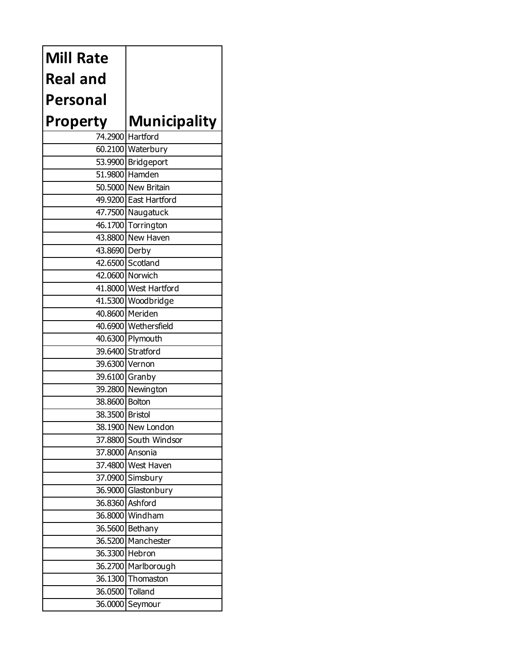| <b>Mill Rate</b> |                       |
|------------------|-----------------------|
| <b>Real and</b>  |                       |
| Personal         |                       |
| <b>Property</b>  | <b>Municipality</b>   |
|                  | 74.2900 Hartford      |
|                  | 60.2100 Waterbury     |
|                  | 53.9900 Bridgeport    |
|                  | 51.9800 Hamden        |
|                  | 50.5000 New Britain   |
|                  | 49.9200 East Hartford |
|                  | 47.7500 Naugatuck     |
|                  | 46.1700 Torrington    |
|                  | 43.8800 New Haven     |
| 43.8690 Derby    |                       |
|                  | 42.6500 Scotland      |
|                  | 42.0600 Norwich       |
|                  | 41.8000 West Hartford |
|                  | 41.5300 Woodbridge    |
|                  | 40.8600 Meriden       |
|                  | 40.6900 Wethersfield  |
|                  | 40.6300 Plymouth      |
|                  | 39.6400 Stratford     |
| 39.6300 Vernon   |                       |
|                  | 39.6100 Granby        |
|                  | 39.2800 Newington     |
| 38.8600 Bolton   |                       |
| 38.3500 Bristol  |                       |
|                  | 38.1900 New London    |
|                  | 37.8800 South Windsor |
|                  | 37.8000 Ansonia       |
|                  | 37.4800 West Haven    |
|                  | 37.0900 Simsbury      |
|                  | 36.9000 Glastonbury   |
|                  | 36.8360 Ashford       |
|                  | 36.8000 Windham       |
|                  | 36.5600 Bethany       |
|                  | 36.5200 Manchester    |
|                  | 36.3300 Hebron        |
|                  | 36.2700 Marlborough   |
|                  | 36.1300 Thomaston     |
| 36.0500 Tolland  |                       |
|                  | 36.0000 Seymour       |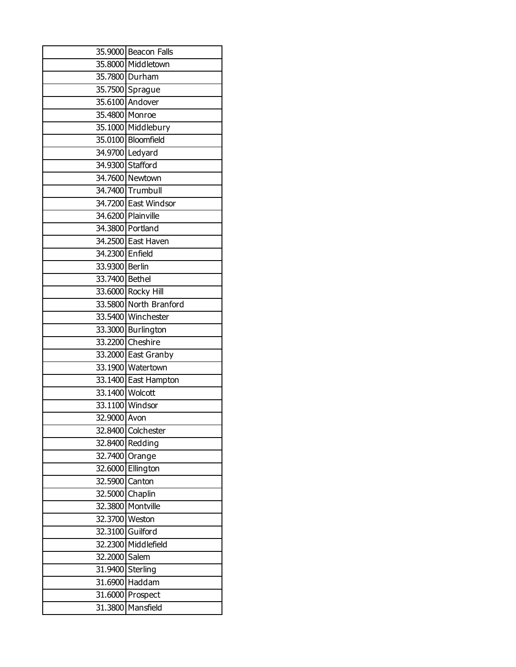|                 | 35.9000 Beacon Falls   |
|-----------------|------------------------|
|                 | 35.8000 Middletown     |
|                 | 35.7800 Durham         |
|                 | 35.7500 Sprague        |
|                 | 35.6100 Andover        |
|                 | 35.4800 Monroe         |
|                 | 35.1000 Middlebury     |
|                 | 35.0100 Bloomfield     |
|                 | 34.9700 Ledyard        |
|                 | 34.9300 Stafford       |
|                 | 34.7600 Newtown        |
|                 | 34.7400 Trumbull       |
|                 | 34.7200 East Windsor   |
|                 | 34.6200 Plainville     |
|                 | 34.3800 Portland       |
|                 | 34.2500 East Haven     |
| 34.2300 Enfield |                        |
| 33.9300 Berlin  |                        |
| 33.7400 Bethel  |                        |
|                 | 33.6000 Rocky Hill     |
|                 | 33.5800 North Branford |
|                 | 33.5400 Winchester     |
|                 | 33.3000 Burlington     |
|                 | 33.2200 Cheshire       |
|                 | 33.2000 East Granby    |
|                 | 33.1900 Watertown      |
|                 | 33.1400 East Hampton   |
| 33.1400 Wolcott |                        |
|                 | 33.1100 Windsor        |
| 32.9000 Avon    |                        |
|                 | 32.8400 Colchester     |
|                 | 32.8400 Redding        |
|                 | 32.7400 Orange         |
|                 | 32.6000 Ellington      |
| 32.5900 Canton  |                        |
| 32.5000 Chaplin |                        |
|                 | 32.3800 Montville      |
| 32.3700 Weston  |                        |
|                 | 32.3100 Guilford       |
|                 | 32.2300 Middlefield    |
| 32.2000 Salem   |                        |
|                 | 31.9400 Sterling       |
|                 | 31.6900 Haddam         |
| 31.6000         | Prospect               |
| 31.3800         | Mansfield              |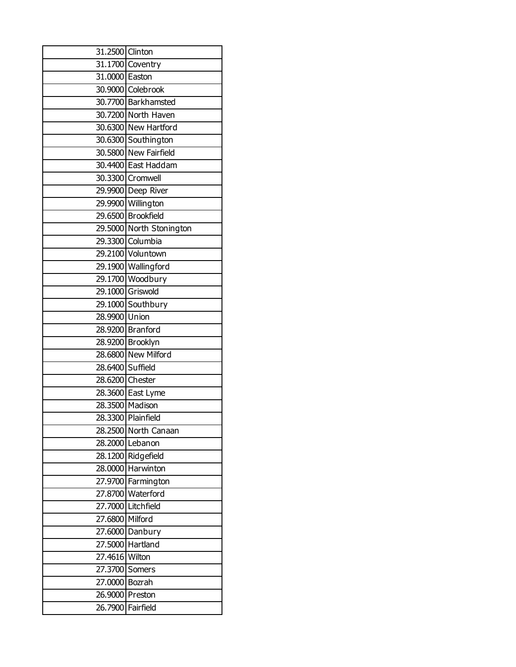| 31.2500 Clinton  |                          |
|------------------|--------------------------|
|                  | 31.1700 Coventry         |
| 31.0000 Easton   |                          |
|                  | 30.9000 Colebrook        |
|                  | 30.7700 Barkhamsted      |
|                  | 30.7200 North Haven      |
|                  | 30.6300 New Hartford     |
|                  | 30.6300 Southington      |
|                  | 30.5800 New Fairfield    |
|                  | 30.4400 East Haddam      |
|                  | 30.3300 Cromwell         |
|                  | 29.9900 Deep River       |
|                  | 29.9900 Willington       |
|                  | 29.6500 Brookfield       |
|                  | 29.5000 North Stonington |
|                  | 29.3300 Columbia         |
|                  | 29.2100 Voluntown        |
|                  | 29.1900 Wallingford      |
|                  | 29.1700 Woodbury         |
|                  | 29.1000 Griswold         |
|                  | 29.1000 Southbury        |
| 28.9900 Union    |                          |
|                  | 28.9200 Branford         |
|                  | 28.9200 Brooklyn         |
|                  | 28.6800 New Milford      |
| 28.6400 Suffield |                          |
| 28.6200 Chester  |                          |
|                  | 28.3600 East Lyme        |
|                  | 28.3500 Madison          |
|                  | 28.3300 Plainfield       |
|                  | 28.2500 North Canaan     |
|                  | 28.2000 Lebanon          |
|                  | 28.1200 Ridgefield       |
|                  | 28.0000 Harwinton        |
|                  | 27.9700 Farmington       |
|                  | 27.8700 Waterford        |
|                  | 27.7000 Litchfield       |
| 27.6800 Milford  |                          |
|                  | 27.6000 Danbury          |
|                  | 27.5000 Hartland         |
| 27.4616 Wilton   |                          |
| 27.3700 Somers   |                          |
| 27.0000 Bozrah   |                          |
| 26.9000 Preston  |                          |
|                  | 26.7900 Fairfield        |